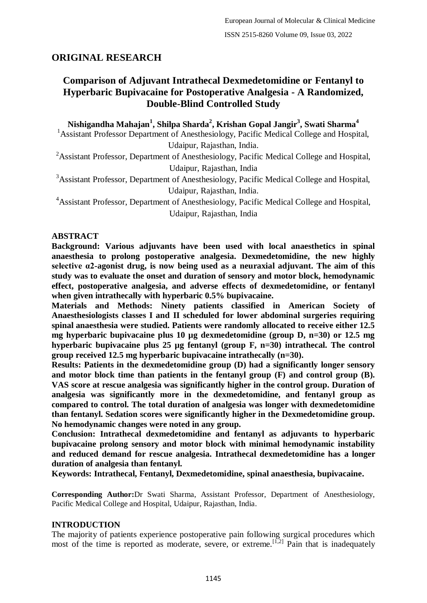# **ORIGINAL RESEARCH**

# **Comparison of Adjuvant Intrathecal Dexmedetomidine or Fentanyl to Hyperbaric Bupivacaine for Postoperative Analgesia - A Randomized, Double-Blind Controlled Study**

**Nishigandha Mahajan<sup>1</sup> , Shilpa Sharda<sup>2</sup> , Krishan Gopal Jangir<sup>3</sup> , Swati Sharma<sup>4</sup>** <sup>1</sup> Assistant Professor Department of Anesthesiology, Pacific Medical College and Hospital,

Udaipur, Rajasthan, India.

<sup>2</sup>Assistant Professor, Department of Anesthesiology, Pacific Medical College and Hospital, Udaipur, Rajasthan, India

<sup>3</sup>Assistant Professor, Department of Anesthesiology, Pacific Medical College and Hospital, Udaipur, Rajasthan, India.

<sup>4</sup>Assistant Professor, Department of Anesthesiology, Pacific Medical College and Hospital, Udaipur, Rajasthan, India

## **ABSTRACT**

**Background: Various adjuvants have been used with local anaesthetics in spinal anaesthesia to prolong postoperative analgesia. Dexmedetomidine, the new highly selective α2-agonist drug, is now being used as a neuraxial adjuvant. The aim of this study was to evaluate the onset and duration of sensory and motor block, hemodynamic effect, postoperative analgesia, and adverse effects of dexmedetomidine, or fentanyl when given intrathecally with hyperbaric 0.5% bupivacaine.**

**Materials and Methods: Ninety patients classified in American Society of Anaesthesiologists classes I and II scheduled for lower abdominal surgeries requiring spinal anaesthesia were studied. Patients were randomly allocated to receive either 12.5 mg hyperbaric bupivacaine plus 10 µg dexmedetomidine (group D, n=30) or 12.5 mg hyperbaric bupivacaine plus 25 µg fentanyl (group F, n=30) intrathecal. The control group received 12.5 mg hyperbaric bupivacaine intrathecally (n=30).**

**Results: Patients in the dexmedetomidine group (D) had a significantly longer sensory and motor block time than patients in the fentanyl group (F) and control group (B). VAS score at rescue analgesia was significantly higher in the control group. Duration of analgesia was significantly more in the dexmedetomidine, and fentanyl group as compared to control. The total duration of analgesia was longer with dexmedetomidine than fentanyl. Sedation scores were significantly higher in the Dexmedetomidine group. No hemodynamic changes were noted in any group.**

**Conclusion: Intrathecal dexmedetomidine and fentanyl as adjuvants to hyperbaric bupivacaine prolong sensory and motor block with minimal hemodynamic instability and reduced demand for rescue analgesia. Intrathecal dexmedetomidine has a longer duration of analgesia than fentanyl.**

**Keywords: Intrathecal, Fentanyl, Dexmedetomidine, spinal anaesthesia, bupivacaine.**

**Corresponding Author:**Dr Swati Sharma, Assistant Professor, Department of Anesthesiology, Pacific Medical College and Hospital, Udaipur, Rajasthan, India.

## **INTRODUCTION**

The majority of patients experience postoperative pain following surgical procedures which most of the time is reported as moderate, severe, or extreme.<sup>[1,2]</sup> Pain that is inadequately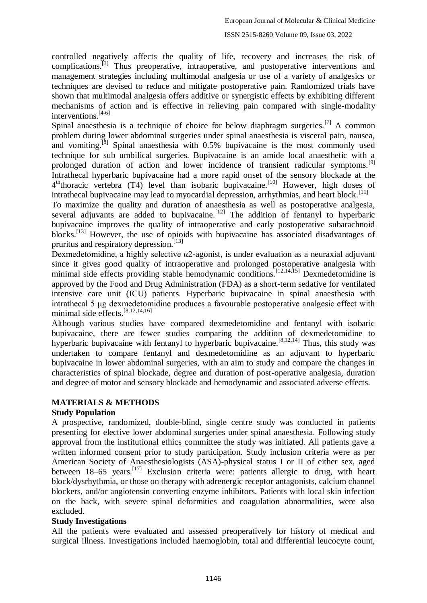controlled negatively affects the quality of life, recovery and increases the risk of complications.<sup>[3]</sup> Thus preoperative, intraoperative, and postoperative interventions and management strategies including multimodal analgesia or use of a variety of analgesics or techniques are devised to reduce and mitigate postoperative pain. Randomized trials have shown that multimodal analgesia offers additive or synergistic effects by exhibiting different mechanisms of action and is effective in relieving pain compared with single-modality interventions.[4-6]

Spinal anaesthesia is a technique of choice for below diaphragm surgeries.[7] A common problem during lower abdominal surgeries under spinal anaesthesia is visceral pain, nausea, and vomiting.<sup>[8]</sup> Spinal anaesthesia with  $0.5\%$  bupivacaine is the most commonly used technique for sub umbilical surgeries. Bupivacaine is an amide local anaesthetic with a prolonged duration of action and lower incidence of transient radicular symptoms.<sup>[9]</sup> Intrathecal hyperbaric bupivacaine had a more rapid onset of the sensory blockade at the 4<sup>th</sup>thoracic vertebra (T4) level than isobaric bupivacaine.<sup>[10]</sup> However, high doses of intrathecal bupivacaine may lead to myocardial depression, arrhythmias, and heart block.<sup>[11]</sup>

To maximize the quality and duration of anaesthesia as well as postoperative analgesia, several adjuvants are added to bupivacaine.<sup>[12]</sup> The addition of fentanyl to hyperbaric bupivacaine improves the quality of intraoperative and early postoperative subarachnoid blocks.<sup>[13]</sup> However, the use of opioids with bupivacaine has associated disadvantages of pruritus and respiratory depression. $^{[13]}$ 

Dexmedetomidine, a highly selective α2-agonist, is under evaluation as a neuraxial adjuvant since it gives good quality of intraoperative and prolonged postoperative analgesia with minimal side effects providing stable hemodynamic conditions.<sup>[12,14,15]</sup> Dexmedetomidine is approved by the Food and Drug Administration (FDA) as a short-term sedative for ventilated intensive care unit (ICU) patients. Hyperbaric bupivacaine in spinal anaesthesia with intrathecal 5 μg dexmedetomidine produces a favourable postoperative analgesic effect with minimal side effects.[8,12,14,16]

Although various studies have compared dexmedetomidine and fentanyl with isobaric bupivacaine, there are fewer studies comparing the addition of dexmedetomidine to hyperbaric bupivacaine with fentanyl to hyperbaric bupivacaine.<sup>[8,12,14]</sup> Thus, this study was undertaken to compare fentanyl and dexmedetomidine as an adjuvant to hyperbaric bupivacaine in lower abdominal surgeries, with an aim to study and compare the changes in characteristics of spinal blockade, degree and duration of post-operative analgesia, duration and degree of motor and sensory blockade and hemodynamic and associated adverse effects.

# **MATERIALS & METHODS**

## **Study Population**

A prospective, randomized, double-blind, single centre study was conducted in patients presenting for elective lower abdominal surgeries under spinal anaesthesia. Following study approval from the institutional ethics committee the study was initiated. All patients gave a written informed consent prior to study participation. Study inclusion criteria were as per American Society of Anaesthesiologists (ASA)-physical status I or II of either sex, aged between 18–65 years.<sup>[17]</sup> Exclusion criteria were: patients allergic to drug, with heart block/dysrhythmia, or those on therapy with adrenergic receptor antagonists, calcium channel blockers, and/or angiotensin converting enzyme inhibitors. Patients with local skin infection on the back, with severe spinal deformities and coagulation abnormalities, were also excluded.

## **Study Investigations**

All the patients were evaluated and assessed preoperatively for history of medical and surgical illness. Investigations included haemoglobin, total and differential leucocyte count,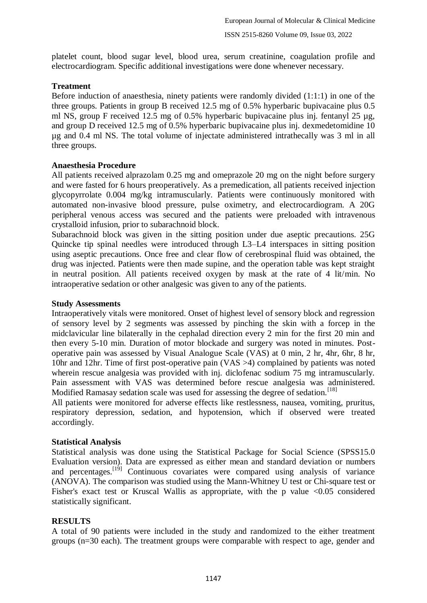platelet count, blood sugar level, blood urea, serum creatinine, coagulation profile and electrocardiogram. Specific additional investigations were done whenever necessary.

#### **Treatment**

Before induction of anaesthesia, ninety patients were randomly divided  $(1:1:1)$  in one of the three groups. Patients in group B received 12.5 mg of 0.5% hyperbaric bupivacaine plus 0.5 ml NS, group F received 12.5 mg of 0.5% hyperbaric bupivacaine plus inj. fentanyl 25 µg, and group D received 12.5 mg of 0.5% hyperbaric bupivacaine plus inj. dexmedetomidine 10 µg and 0.4 ml NS. The total volume of injectate administered intrathecally was 3 ml in all three groups.

#### **Anaesthesia Procedure**

All patients received alprazolam 0.25 mg and omeprazole 20 mg on the night before surgery and were fasted for 6 hours preoperatively. As a premedication, all patients received injection glycopyrrolate 0.004 mg/kg intramuscularly. Patients were continuously monitored with automated non-invasive blood pressure, pulse oximetry, and electrocardiogram. A 20G peripheral venous access was secured and the patients were preloaded with intravenous crystalloid infusion, prior to subarachnoid block.

Subarachnoid block was given in the sitting position under due aseptic precautions. 25G Quincke tip spinal needles were introduced through L3–L4 interspaces in sitting position using aseptic precautions. Once free and clear flow of cerebrospinal fluid was obtained, the drug was injected. Patients were then made supine, and the operation table was kept straight in neutral position. All patients received oxygen by mask at the rate of 4 lit/min. No intraoperative sedation or other analgesic was given to any of the patients.

#### **Study Assessments**

Intraoperatively vitals were monitored. Onset of highest level of sensory block and regression of sensory level by 2 segments was assessed by pinching the skin with a forcep in the midclavicular line bilaterally in the cephalad direction every 2 min for the first 20 min and then every 5-10 min. Duration of motor blockade and surgery was noted in minutes. Postoperative pain was assessed by Visual Analogue Scale (VAS) at 0 min, 2 hr, 4hr, 6hr, 8 hr, 10hr and 12hr. Time of first post-operative pain (VAS >4) complained by patients was noted wherein rescue analgesia was provided with inj. diclofenac sodium 75 mg intramuscularly. Pain assessment with VAS was determined before rescue analgesia was administered. Modified Ramasay sedation scale was used for assessing the degree of sedation.<sup>[18]</sup>

All patients were monitored for adverse effects like restlessness, nausea, vomiting, pruritus, respiratory depression, sedation, and hypotension, which if observed were treated accordingly.

## **Statistical Analysis**

Statistical analysis was done using the Statistical Package for Social Science (SPSS15.0 Evaluation version). Data are expressed as either mean and standard deviation or numbers and percentages.[19] Continuous covariates were compared using analysis of variance (ANOVA). The comparison was studied using the Mann-Whitney U test or Chi-square test or Fisher's exact test or Kruscal Wallis as appropriate, with the p value <0.05 considered statistically significant.

## **RESULTS**

A total of 90 patients were included in the study and randomized to the either treatment groups (n=30 each). The treatment groups were comparable with respect to age, gender and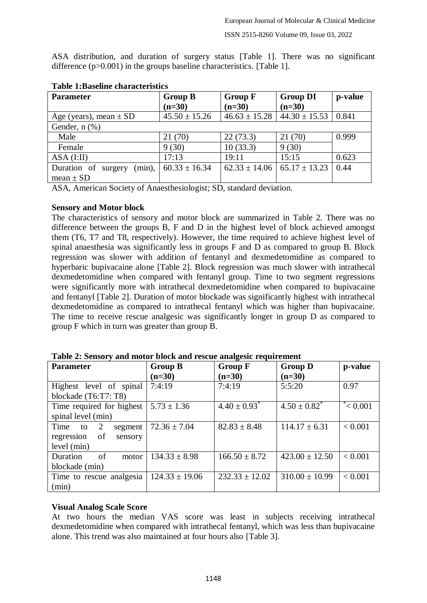ASA distribution, and duration of surgery status [Table 1]. There was no significant difference (p>0.001) in the groups baseline characteristics. [Table 1].

| <b>Parameter</b>                 | <b>Group B</b>    | <b>Group F</b>    | <b>Group DI</b>   | p-value |
|----------------------------------|-------------------|-------------------|-------------------|---------|
|                                  | $(n=30)$          | $(n=30)$          | $(n=30)$          |         |
| Age (years), mean $\pm$ SD       | $45.50 \pm 15.26$ | $46.63 \pm 15.28$ | $44.30 \pm 15.53$ | 0.841   |
| Gender, $n$ $(\%)$               |                   |                   |                   |         |
| Male                             | 21(70)            | 22(73.3)          | 21(70)            | 0.999   |
| Female                           | 9(30)             | 10(33.3)          | 9(30)             |         |
| $ASA$ (I:II)                     | 17:13             | 19:11             | 15:15             | 0.623   |
| (min),<br>Duration of<br>surgery | $60.33 \pm 16.34$ | $62.33 \pm 14.06$ | $65.17 \pm 13.23$ | 0.44    |
| mean $\pm$ SD                    |                   |                   |                   |         |

#### **Table 1:Baseline characteristics**

ASA, American Society of Anaesthesiologist; SD, standard deviation.

#### **Sensory and Motor block**

The characteristics of sensory and motor block are summarized in Table 2. There was no difference between the groups B, F and D in the highest level of block achieved amongst them (T6, T7 and T8, respectively). However, the time required to achieve highest level of spinal anaesthesia was significantly less in groups F and D as compared to group B. Block regression was slower with addition of fentanyl and dexmedetomidine as compared to hyperbaric bupivacaine alone [Table 2]. Block regression was much slower with intrathecal dexmedetomidine when compared with fentanyl group. Time to two segment regressions were significantly more with intrathecal dexmedetomidine when compared to bupivacaine and fentanyl [Table 2]. Duration of motor blockade was significantly highest with intrathecal dexmedetomidine as compared to intrathecal fentanyl which was higher than bupivacaine. The time to receive rescue analgesic was significantly longer in group D as compared to group F which in turn was greater than group B.

| <b>Parameter</b>            | <b>Group B</b>     | <b>Group F</b>               | <b>Group D</b>     | p-value         |
|-----------------------------|--------------------|------------------------------|--------------------|-----------------|
|                             | $(n=30)$           | $(n=30)$                     | $(n=30)$           |                 |
| Highest level of spinal     | 7:4:19             | 7:4:19                       | 5:5:20             | 0.97            |
| blockade (T6:T7: T8)        |                    |                              |                    |                 |
| Time required for highest   | $5.73 \pm 1.36$    | $4.40 \pm 0.93$ <sup>*</sup> | $4.50 \pm 0.82^*$  | $\approx 0.001$ |
| spinal level (min)          |                    |                              |                    |                 |
| Time<br>2<br>segment<br>to  | $72.36 \pm 7.04$   | $82.83 \pm 8.48$             | $114.17 \pm 6.31$  | < 0.001         |
| of<br>regression<br>sensory |                    |                              |                    |                 |
| level (min)                 |                    |                              |                    |                 |
| of<br>Duration<br>motor     | $134.33 \pm 8.98$  | $166.50 \pm 8.72$            | $423.00 \pm 12.50$ | < 0.001         |
| blockade (min)              |                    |                              |                    |                 |
| Time to rescue analgesia    | $124.33 \pm 19.06$ | $232.33 \pm 12.02$           | $310.00 \pm 10.99$ | < 0.001         |
| (min)                       |                    |                              |                    |                 |

**Table 2: Sensory and motor block and rescue analgesic requirement**

#### **Visual Analog Scale Score**

At two hours the median VAS score was least in subjects receiving intrathecal dexmedetomidine when compared with intrathecal fentanyl, which was less than bupivacaine alone. This trend was also maintained at four hours also [Table 3].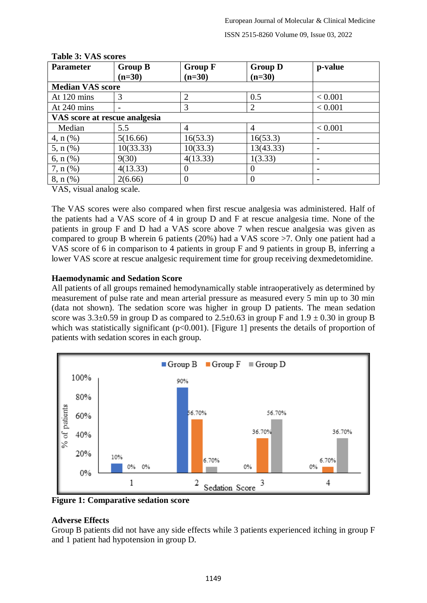| <b>Parameter</b>              | <b>Group B</b><br>$(n=30)$ | <b>Group F</b><br>$(n=30)$ | <b>Group D</b><br>$(n=30)$ | p-value |
|-------------------------------|----------------------------|----------------------------|----------------------------|---------|
| <b>Median VAS score</b>       |                            |                            |                            |         |
| At 120 mins                   | 3                          | 2                          | 0.5                        | < 0.001 |
| At 240 mins                   |                            | 3                          | $\overline{2}$             | < 0.001 |
| VAS score at rescue analgesia |                            |                            |                            |         |
| Median                        | 5.5                        | 4                          | $\overline{4}$             | < 0.001 |
| $4, n$ (%)                    | 5(16.66)                   | 16(53.3)                   | 16(53.3)                   |         |
| 5, $n$ (%)                    | 10(33.33)                  | 10(33.3)                   | 13(43.33)                  |         |
| 6, $n$ (%)                    | 9(30)                      | 4(13.33)                   | 1(3.33)                    |         |
| $7, n$ (%)                    | 4(13.33)                   | O                          |                            |         |
| $8, n$ (%)                    | 2(6.66)                    |                            |                            |         |

#### **Table 3: VAS scores**

VAS, visual analog scale.

The VAS scores were also compared when first rescue analgesia was administered. Half of the patients had a VAS score of 4 in group D and F at rescue analgesia time. None of the patients in group F and D had a VAS score above 7 when rescue analgesia was given as compared to group B wherein 6 patients (20%) had a VAS score >7. Only one patient had a VAS score of 6 in comparison to 4 patients in group F and 9 patients in group B, inferring a lower VAS score at rescue analgesic requirement time for group receiving dexmedetomidine.

## **Haemodynamic and Sedation Score**

All patients of all groups remained hemodynamically stable intraoperatively as determined by measurement of pulse rate and mean arterial pressure as measured every 5 min up to 30 min (data not shown). The sedation score was higher in group D patients. The mean sedation score was  $3.3\pm0.59$  in group D as compared to  $2.5\pm0.63$  in group F and  $1.9\pm0.30$  in group B which was statistically significant  $(p<0.001)$ . [Figure 1] presents the details of proportion of patients with sedation scores in each group.



**Figure 1: Comparative sedation score**

# **Adverse Effects**

Group B patients did not have any side effects while 3 patients experienced itching in group F and 1 patient had hypotension in group D.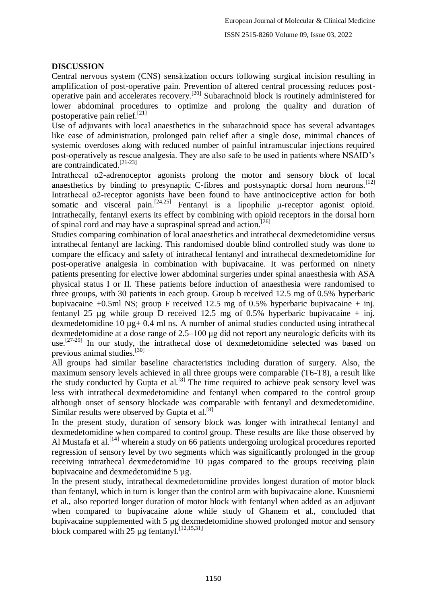## **DISCUSSION**

Central nervous system (CNS) sensitization occurs following surgical incision resulting in amplification of post-operative pain. Prevention of altered central processing reduces postoperative pain and accelerates recovery.[20] Subarachnoid block is routinely administered for lower abdominal procedures to optimize and prolong the quality and duration of postoperative pain relief.<sup>[21]</sup>

Use of adjuvants with local anaesthetics in the subarachnoid space has several advantages like ease of administration, prolonged pain relief after a single dose, minimal chances of systemic overdoses along with reduced number of painful intramuscular injections required post-operatively as rescue analgesia. They are also safe to be used in patients where NSAID's are contraindicated.[21-23]

Intrathecal α2-adrenoceptor agonists prolong the motor and sensory block of local anaesthetics by binding to presynaptic C-fibres and postsynaptic dorsal horn neurons.<sup>[12]</sup> Intrathecal  $\alpha$ 2-receptor agonists have been found to have antinociceptive action for both somatic and visceral pain.<sup>[24,25]</sup> Fentanyl is a lipophilic  $\mu$ -receptor agonist opioid. Intrathecally, fentanyl exerts its effect by combining with opioid receptors in the dorsal horn of spinal cord and may have a supraspinal spread and action.<sup>[26]</sup>

Studies comparing combination of local anaesthetics and intrathecal dexmedetomidine versus intrathecal fentanyl are lacking. This randomised double blind controlled study was done to compare the efficacy and safety of intrathecal fentanyl and intrathecal dexmedetomidine for post-operative analgesia in combination with bupivacaine. It was performed on ninety patients presenting for elective lower abdominal surgeries under spinal anaesthesia with ASA physical status I or II. These patients before induction of anaesthesia were randomised to three groups, with 30 patients in each group. Group b received 12.5 mg of 0.5% hyperbaric bupivacaine +0.5ml NS; group F received 12.5 mg of 0.5% hyperbaric bupivacaine + inj. fentanyl 25  $\mu$ g while group D received 12.5 mg of 0.5% hyperbaric bupivacaine + inj. dexmedetomidine 10 µg+ 0.4 ml ns. A number of animal studies conducted using intrathecal dexmedetomidine at a dose range of 2.5–100 μg did not report any neurologic deficits with its use.<sup>[27-29]</sup> In our study, the intrathecal dose of dexmedetomidine selected was based on previous animal studies.[30]

All groups had similar baseline characteristics including duration of surgery. Also, the maximum sensory levels achieved in all three groups were comparable (T6-T8), a result like the study conducted by Gupta et al.<sup>[8]</sup> The time required to achieve peak sensory level was less with intrathecal dexmedetomidine and fentanyl when compared to the control group although onset of sensory blockade was comparable with fentanyl and dexmedetomidine. Similar results were observed by Gupta et al.  $[8]$ 

In the present study, duration of sensory block was longer with intrathecal fentanyl and dexmedetomidine when compared to control group. These results are like those observed by Al Mustafa et al.<sup>[14]</sup> wherein a study on 66 patients undergoing urological procedures reported regression of sensory level by two segments which was significantly prolonged in the group receiving intrathecal dexmedetomidine 10 µgas compared to the groups receiving plain bupivacaine and dexmedetomidine 5 µg.

In the present study, intrathecal dexmedetomidine provides longest duration of motor block than fentanyl, which in turn is longer than the control arm with bupivacaine alone. Kuusniemi et al., also reported longer duration of motor block with fentanyl when added as an adjuvant when compared to bupivacaine alone while study of Ghanem et al., concluded that bupivacaine supplemented with 5 µg dexmedetomidine showed prolonged motor and sensory block compared with 25  $\mu$ g fentanyl.<sup>[12,15,31]</sup>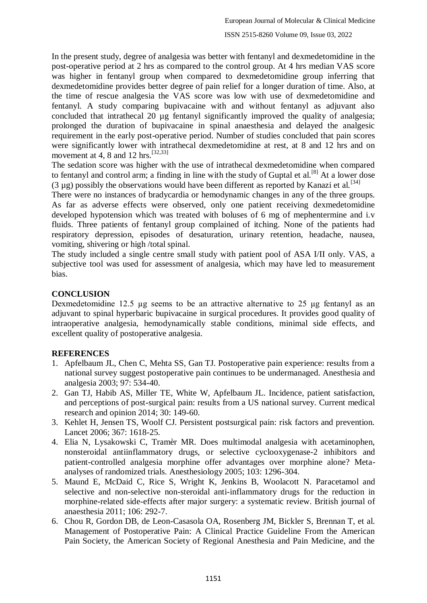In the present study, degree of analgesia was better with fentanyl and dexmedetomidine in the post-operative period at 2 hrs as compared to the control group. At 4 hrs median VAS score was higher in fentanyl group when compared to dexmedetomidine group inferring that dexmedetomidine provides better degree of pain relief for a longer duration of time. Also, at the time of rescue analgesia the VAS score was low with use of dexmedetomidine and fentanyl. A study comparing bupivacaine with and without fentanyl as adjuvant also concluded that intrathecal 20 µg fentanyl significantly improved the quality of analgesia; prolonged the duration of bupivacaine in spinal anaesthesia and delayed the analgesic requirement in the early post-operative period. Number of studies concluded that pain scores were significantly lower with intrathecal dexmedetomidine at rest, at 8 and 12 hrs and on movement at 4, 8 and 12 hrs.<sup>[32,33]</sup>

The sedation score was higher with the use of intrathecal dexmedetomidine when compared to fentanyl and control arm; a finding in line with the study of Guptal et al.<sup>[8]</sup> At a lower dose (3  $\mu$ g) possibly the observations would have been different as reported by Kanazi et al.<sup>[34]</sup>

There were no instances of bradycardia or hemodynamic changes in any of the three groups. As far as adverse effects were observed, only one patient receiving dexmedetomidine developed hypotension which was treated with boluses of 6 mg of mephentermine and i.v fluids. Three patients of fentanyl group complained of itching. None of the patients had respiratory depression, episodes of desaturation, urinary retention, headache, nausea, vomiting, shivering or high /total spinal.

The study included a single centre small study with patient pool of ASA I/II only. VAS, a subjective tool was used for assessment of analgesia, which may have led to measurement bias.

## **CONCLUSION**

Dexmedetomidine 12.5 µg seems to be an attractive alternative to 25 μg fentanyl as an adjuvant to spinal hyperbaric bupivacaine in surgical procedures. It provides good quality of intraoperative analgesia, hemodynamically stable conditions, minimal side effects, and excellent quality of postoperative analgesia.

# **REFERENCES**

- 1. Apfelbaum JL, Chen C, Mehta SS, Gan TJ. Postoperative pain experience: results from a national survey suggest postoperative pain continues to be undermanaged. Anesthesia and analgesia 2003; 97: 534-40.
- 2. Gan TJ, Habib AS, Miller TE, White W, Apfelbaum JL. Incidence, patient satisfaction, and perceptions of post-surgical pain: results from a US national survey. Current medical research and opinion 2014; 30: 149-60.
- 3. Kehlet H, Jensen TS, Woolf CJ. Persistent postsurgical pain: risk factors and prevention. Lancet 2006; 367: 1618-25.
- 4. Elia N, Lysakowski C, Tramèr MR. Does multimodal analgesia with acetaminophen, nonsteroidal antiinflammatory drugs, or selective cyclooxygenase-2 inhibitors and patient-controlled analgesia morphine offer advantages over morphine alone? Metaanalyses of randomized trials. Anesthesiology 2005; 103: 1296-304.
- 5. Maund E, McDaid C, Rice S, Wright K, Jenkins B, Woolacott N. Paracetamol and selective and non-selective non-steroidal anti-inflammatory drugs for the reduction in morphine-related side-effects after major surgery: a systematic review. British journal of anaesthesia 2011; 106: 292-7.
- 6. Chou R, Gordon DB, de Leon-Casasola OA, Rosenberg JM, Bickler S, Brennan T, et al. Management of Postoperative Pain: A Clinical Practice Guideline From the American Pain Society, the American Society of Regional Anesthesia and Pain Medicine, and the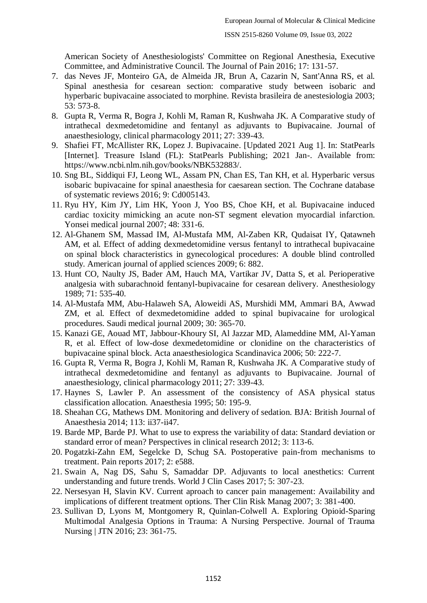American Society of Anesthesiologists' Committee on Regional Anesthesia, Executive Committee, and Administrative Council. The Journal of Pain 2016; 17: 131-57.

- 7. das Neves JF, Monteiro GA, de Almeida JR, Brun A, Cazarin N, Sant'Anna RS, et al. Spinal anesthesia for cesarean section: comparative study between isobaric and hyperbaric bupivacaine associated to morphine. Revista brasileira de anestesiologia 2003; 53: 573-8.
- 8. Gupta R, Verma R, Bogra J, Kohli M, Raman R, Kushwaha JK. A Comparative study of intrathecal dexmedetomidine and fentanyl as adjuvants to Bupivacaine. Journal of anaesthesiology, clinical pharmacology 2011; 27: 339-43.
- 9. Shafiei FT, McAllister RK, Lopez J. Bupivacaine. [Updated 2021 Aug 1]. In: StatPearls [Internet]. Treasure Island (FL): StatPearls Publishing; 2021 Jan-. Available from: https://www.ncbi.nlm.nih.gov/books/NBK532883/.
- 10. Sng BL, Siddiqui FJ, Leong WL, Assam PN, Chan ES, Tan KH, et al. Hyperbaric versus isobaric bupivacaine for spinal anaesthesia for caesarean section. The Cochrane database of systematic reviews 2016; 9: Cd005143.
- 11. Ryu HY, Kim JY, Lim HK, Yoon J, Yoo BS, Choe KH, et al. Bupivacaine induced cardiac toxicity mimicking an acute non-ST segment elevation myocardial infarction. Yonsei medical journal 2007; 48: 331-6.
- 12. Al-Ghanem SM, Massad IM, Al-Mustafa MM, Al-Zaben KR, Qudaisat IY, Qatawneh AM, et al. Effect of adding dexmedetomidine versus fentanyl to intrathecal bupivacaine on spinal block characteristics in gynecological procedures: A double blind controlled study. American journal of applied sciences 2009; 6: 882.
- 13. Hunt CO, Naulty JS, Bader AM, Hauch MA, Vartikar JV, Datta S, et al. Perioperative analgesia with subarachnoid fentanyl-bupivacaine for cesarean delivery. Anesthesiology 1989; 71: 535-40.
- 14. Al-Mustafa MM, Abu-Halaweh SA, Aloweidi AS, Murshidi MM, Ammari BA, Awwad ZM, et al. Effect of dexmedetomidine added to spinal bupivacaine for urological procedures. Saudi medical journal 2009; 30: 365-70.
- 15. Kanazi GE, Aouad MT, Jabbour-Khoury SI, Al Jazzar MD, Alameddine MM, Al-Yaman R, et al. Effect of low-dose dexmedetomidine or clonidine on the characteristics of bupivacaine spinal block. Acta anaesthesiologica Scandinavica 2006; 50: 222-7.
- 16. Gupta R, Verma R, Bogra J, Kohli M, Raman R, Kushwaha JK. A Comparative study of intrathecal dexmedetomidine and fentanyl as adjuvants to Bupivacaine. Journal of anaesthesiology, clinical pharmacology 2011; 27: 339-43.
- 17. Haynes S, Lawler P. An assessment of the consistency of ASA physical status classification allocation. Anaesthesia 1995; 50: 195-9.
- 18. Sheahan CG, Mathews DM. Monitoring and delivery of sedation. BJA: British Journal of Anaesthesia 2014; 113: ii37-ii47.
- 19. Barde MP, Barde PJ. What to use to express the variability of data: Standard deviation or standard error of mean? Perspectives in clinical research 2012; 3: 113-6.
- 20. Pogatzki-Zahn EM, Segelcke D, Schug SA. Postoperative pain-from mechanisms to treatment. Pain reports 2017; 2: e588.
- 21. Swain A, Nag DS, Sahu S, Samaddar DP. Adjuvants to local anesthetics: Current understanding and future trends. World J Clin Cases 2017; 5: 307-23.
- 22. Nersesyan H, Slavin KV. Current aproach to cancer pain management: Availability and implications of different treatment options. Ther Clin Risk Manag 2007; 3: 381-400.
- 23. Sullivan D, Lyons M, Montgomery R, Quinlan-Colwell A. Exploring Opioid-Sparing Multimodal Analgesia Options in Trauma: A Nursing Perspective. Journal of Trauma Nursing | JTN 2016; 23: 361-75.